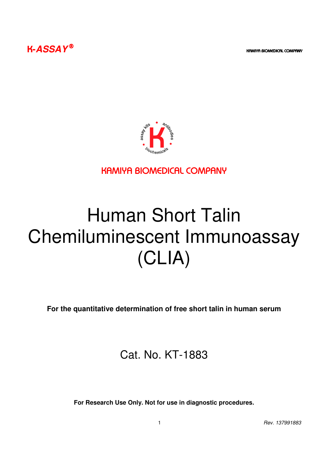**K-ASSAY**<sup><sup>®</sup></sup>



KAMIYA BIOMEDICAL COMPANY

# Human Short Talin Chemiluminescent Immunoassay (CLIA)

**For the quantitative determination of free short talin in human serum** 

## Cat. No. KT-1883

**For Research Use Only. Not for use in diagnostic procedures.**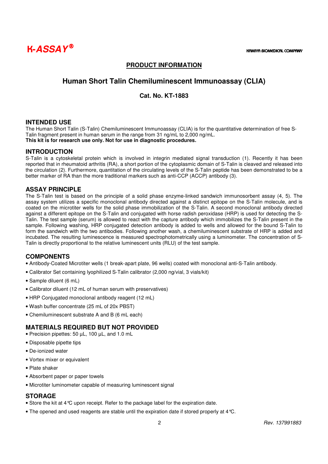

### **PRODUCT INFORMATION**

### **Human Short Talin Chemiluminescent Immunoassay (CLIA)**

### **Cat. No. KT-1883**

### **INTENDED USE**

The Human Short Talin (S-Talin) Chemiluminescent Immunoassay (CLIA) is for the quantitative determination of free S-Talin fragment present in human serum in the range from 31 ng/mL to 2,000 ng/mL. **This kit is for research use only. Not for use in diagnostic procedures.**

### **INTRODUCTION**

S-Talin is a cytoskeletal protein which is involved in integrin mediated signal transduction (1). Recently it has been reported that in rheumatoid arthritis (RA), a short portion of the cytoplasmic domain of S-Talin is cleaved and released into the circulation (2). Furthermore, quantitation of the circulating levels of the S-Talin peptide has been demonstrated to be a better marker of RA than the more traditional markers such as anti-CCP (ACCP) antibody (3).

### **ASSAY PRINCIPLE**

The S-Talin test is based on the principle of a solid phase enzyme-linked sandwich immunosorbent assay (4, 5). The assay system utilizes a specific monoclonal antibody directed against a distinct epitope on the S-Talin molecule, and is coated on the microtiter wells for the solid phase immobilization of the S-Talin. A second monoclonal antibody directed against a different epitope on the S-Talin and conjugated with horse radish peroxidase (HRP) is used for detecting the S-Talin. The test sample (serum) is allowed to react with the capture antibody which immobilizes the S-Talin present in the sample. Following washing, HRP conjugated detection antibody is added to wells and allowed for the bound S-Talin to form the sandwich with the two antibodies. Following another wash, a chemiluminescent substrate of HRP is added and incubated. The resulting luminescence is measured spectrophotometrically using a luminometer. The concentration of S-Talin is directly proportional to the relative luminescent units (RLU) of the test sample.

### **COMPONENTS**

- Antibody-Coated Microtiter wells (1 break-apart plate, 96 wells) coated with monoclonal anti-S-Talin antibody.
- Calibrator Set containing lyophilized S-Talin calibrator (2,000 ng/vial, 3 vials/kit)
- Sample diluent (6 mL)
- Calibrator diluent (12 mL of human serum with preservatives)
- HRP Conjugated monoclonal antibody reagent (12 mL)
- Wash buffer concentrate (25 mL of 20x PBST)
- Chemiluminescent substrate A and B (6 mL each)

### **MATERIALS REQUIRED BUT NOT PROVIDED**

- Precision pipettes: 50 µL, 100 µL, and 1.0 mL
- Disposable pipette tips
- De-ionized water
- Vortex mixer or equivalent
- Plate shaker
- Absorbent paper or paper towels
- Microtiter luminometer capable of measuring luminescent signal

### **STORAGE**

- Store the kit at 4°C upon receipt. Refer to the package label for the expiration date.
- The opened and used reagents are stable until the expiration date if stored properly at 4°C.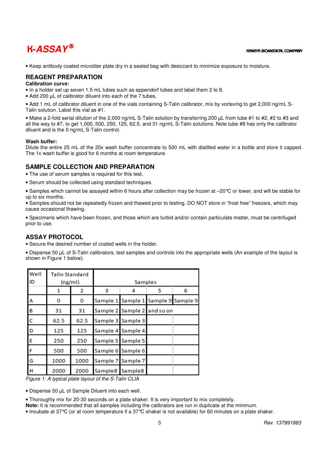## **K-ASSAY** ® KAMIYA BIOMEDICAL COMPANY

• Keep antibody coated microtiter plate dry in a sealed bag with desiccant to minimize exposure to moisture.

### **REAGENT PREPARATION**

### **Calibration curve:**

• In a holder set up seven 1.5 mL tubes such as eppendorf tubes and label them 2 to 8.

• Add 200 µL of calibrator diluent into each of the 7 tubes.

• Add 1 mL of calibrator diluent in one of the vials containing S-Talin calibrator, mix by vortexing to get 2,000 ng/mL S-Talin solution. Label this vial as #1.

• Make a 2-fold serial dilution of the 2,000 ng/mL S-Talin solution by transferring 200 uL from tube #1 to #2, #2 to #3 and all the way to #7, to get 1,000, 500, 250, 125, 62.5, and 31 ng/mL S-Talin solutions. Note tube #8 has only the calibrator diluent and is the 0 ng/mL S-Talin control.

### **Wash buffer:**

Dilute the entire 25 mL of the 20x wash buffer concentrate to 500 mL with distilled water in a bottle and store it capped. The 1x wash buffer is good for 6 months at room temperature.

### **SAMPLE COLLECTION AND PREPARATION**

• The use of serum samples is required for this test.

• Serum should be collected using standard techniques.

• Samples which cannot be assayed within 6 hours after collection may be frozen at –20°C or lower, and will be stable for up to six months.

• Samples should not be repeatedly frozen and thawed prior to testing. DO NOT store in "frost free" freezers, which may cause occasional thawing.

• Specimens which have been frozen, and those which are turbid and/or contain particulate matter, must be centrifuged prior to use.

### **ASSAY PROTOCOL**

• Secure the desired number of coated wells in the holder.

• Dispense 50 µL of S-Talin calibrators, test samples and controls into the appropriate wells (An example of the layout is shown in Figure 1 below).

| Well<br>ID   | <b>Talin Standard</b><br>(ng/ml) |      | <b>Samples</b>  |                             |                            |   |
|--------------|----------------------------------|------|-----------------|-----------------------------|----------------------------|---|
|              |                                  | 2    | з               | 4                           | 5                          | 6 |
| А            | 0                                | 0    | Sample 1        |                             | Sample 1 Sample 9 Sample 9 |   |
| B            | 31                               | 31   |                 | Sample 2 Sample 2 and so on |                            |   |
| $\mathsf{C}$ | 62.5                             | 62.5 | Sample 3        | Sample 3                    |                            |   |
| D            | 125                              | 125  |                 | Sample 4 Sample 4           |                            |   |
| E            | 250                              | 250  | Sample 5        | Sample 5                    |                            |   |
| F            | 500                              | 500  |                 | Sample 6 Sample 6           |                            |   |
| G            | 1000                             | 1000 | Sample 7        | Sample 7                    |                            |   |
| H            | 2000                             | 2000 | Sample8 Sample8 |                             |                            |   |

Figure 1: A typical plate layout of the S-Talin CLIA

• Dispense 50 µL of Sample Diluent into each well.

• Thoroughly mix for 20-30 seconds on a plate shaker. It is very important to mix completely.

**Note:** It is recommended that all samples including the calibrators are run in duplicate at the minimum.

• Incubate at 37°C (or at room temperature if a 37°C shaker is not available) for 60 minutes on a plate shaker.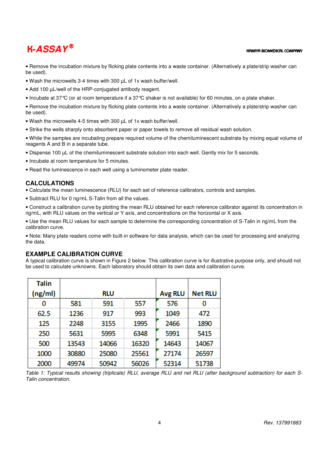## $\mathbf{K}\text{-}\mathbf{ASSA}\, \bm{Y}^{\circledR}$  and  $\mathbf{K}\text{-}\mathbf{ASSA}\, \bm{Y}^{\circledR}$  and  $\mathbf{K}\text{-}\mathbf{S}\text{-}\mathbf{S}\text{-}\mathbf{S}$

• Remove the incubation mixture by flicking plate contents into a waste container. (Alternatively a plate/strip washer can be used).

- Wash the microwells 3-4 times with 300 µL of 1x wash buffer/well.
- Add 100 µL/well of the HRP-conjugated antibody reagent.
- Incubate at 37°C (or at room temperature if a 37°C shaker is not available) for 60 minutes, on a plate shaker.

• Remove the incubation mixture by flicking plate contents into a waste container. (Alternatively a plate/strip washer can be used).

- Wash the microwells 4-5 times with 300 µL of 1x wash buffer/well.
- Strike the wells sharply onto absorbent paper or paper towels to remove all residual wash solution.

• While the samples are incubating prepare required volume of the chemiluminescent substrate by mixing equal volume of reagents A and B in a separate tube.

- Dispense 100 µL of the chemiluminescent substrate solution into each well. Gently mix for 5 seconds.
- Incubate at room temperature for 5 minutes.
- Read the luminescence in each well using a luminometer plate reader.

### **CALCULATIONS**

• Calculate the mean luminescence (RLU) for each set of reference calibrators, controls and samples.

• Subtract RLU for 0 ng/mL S-Talin from all the values.

• Construct a calibration curve by plotting the mean RLU obtained for each reference calibrator against its concentration in ng/mL, with RLU values on the vertical or Y axis, and concentrations on the horizontal or X axis.

• Use the mean RLU values for each sample to determine the corresponding concentration of S-Talin in ng/mL from the calibration curve.

• Note: Many plate readers come with built-in software for data analysis, which can be used for processing and analyzing the data.

### **EXAMPLE CALIBRATION CURVE**

A typical calibration curve is shown in Figure 2 below. This calibration curve is for illustrative purpose only, and should not be used to calculate unknowns. Each laboratory should obtain its own data and calibration curve.

| Talin   |       |            |       |                |                |
|---------|-------|------------|-------|----------------|----------------|
| (ng/ml) |       | <b>RLU</b> |       | <b>Avg RLU</b> | <b>Net RLU</b> |
| 0       | 581   | 591        | 557   | 576            | 0              |
| 62.5    | 1236  | 917        | 993   | 1049           | 472            |
| 125     | 2248  | 3155       | 1995  | 2466           | 1890           |
| 250     | 5631  | 5995       | 6348  | 5991           | 5415           |
| 500     | 13543 | 14066      | 16320 | 14643          | 14067          |
| 1000    | 30880 | 25080      | 25561 | 27174          | 26597          |
| 2000    | 49974 | 50942      | 56026 | 52314          | 51738          |

Table 1: Typical results showing (triplicate) RLU, average RLU and net RLU (after background subtraction) for each S-Talin concentration.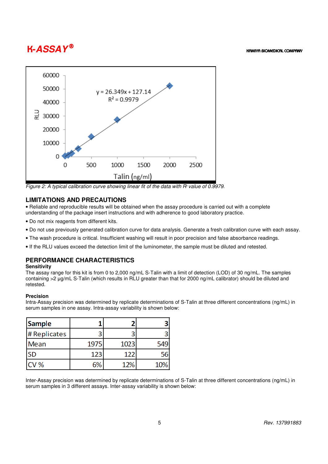## $\mathbf{K}\text{-}\mathbf{ASSA}\, \bm{Y}^{\circledR}$  and  $\mathbf{K}\text{-}\mathbf{ASSA}\, \bm{Y}^{\circledR}$  and  $\mathbf{K}\text{-}\mathbf{S}\text{-}\mathbf{S}\text{-}\mathbf{S}$



Figure 2: A typical calibration curve showing linear fit of the data with  $R<sup>2</sup>$  value of 0.9979.

### **LIMITATIONS AND PRECAUTIONS**

• Reliable and reproducible results will be obtained when the assay procedure is carried out with a complete understanding of the package insert instructions and with adherence to good laboratory practice.

- Do not mix reagents from different kits.
- Do not use previously generated calibration curve for data analysis. Generate a fresh calibration curve with each assay.
- The wash procedure is critical. Insufficient washing will result in poor precision and false absorbance readings.
- If the RLU values exceed the detection limit of the luminometer, the sample must be diluted and retested.

### **PERFORMANCE CHARACTERISTICS**

### **Sensitivity**

The assay range for this kit is from 0 to 2,000 ng/mL S-Talin with a limit of detection (LOD) of 30 ng/mL. The samples containing >2 µg/mL S-Talin (which results in RLU greater than that for 2000 ng/mL calibrator) should be diluted and retested.

### **Precision**

Intra-Assay precision was determined by replicate determinations of S-Talin at three different concentrations (ng/mL) in serum samples in one assay. Intra-assay variability is shown below:

| Sample       |      |      |     |
|--------------|------|------|-----|
| # Replicates |      |      |     |
| Mean         | 1975 | 1023 | 549 |
| <b>SD</b>    | 123  | 122  | 56  |
| CV %         |      | 12%  | 10% |

Inter-Assay precision was determined by replicate determinations of S-Talin at three different concentrations (ng/mL) in serum samples in 3 different assays. Inter-assay variability is shown below: